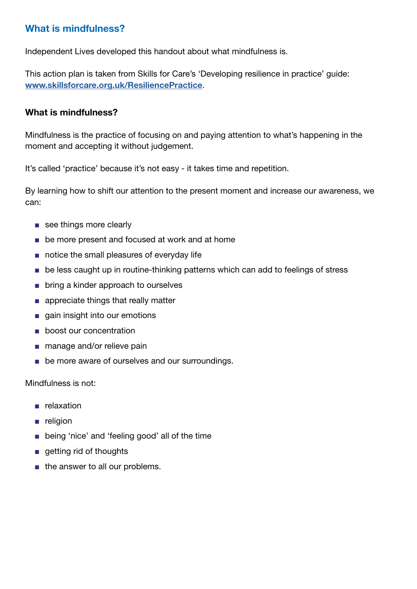## What is mindfulness?

Independent Lives developed this handout about what mindfulness is.

This action plan is taken from Skills for Care's 'Developing resilience in practice' guide: [www.skillsforcare.org.uk/ResiliencePractice](http://www.skillsforcare.org.uk/ResiliencePractice).

## What is mindfulness?

Mindfulness is the practice of focusing on and paying attention to what's happening in the moment and accepting it without judgement.

It's called 'practice' because it's not easy - it takes time and repetition.

By learning how to shift our attention to the present moment and increase our awareness, we can:

- see things more clearly
- be more present and focused at work and at home
- notice the small pleasures of everyday life
- be less caught up in routine-thinking patterns which can add to feelings of stress
- bring a kinder approach to ourselves
- appreciate things that really matter
- gain insight into our emotions
- boost our concentration
- manage and/or relieve pain
- be more aware of ourselves and our surroundings.

Mindfulness is not:

- relaxation
- religion
- being 'nice' and 'feeling good' all of the time
- getting rid of thoughts
- the answer to all our problems.